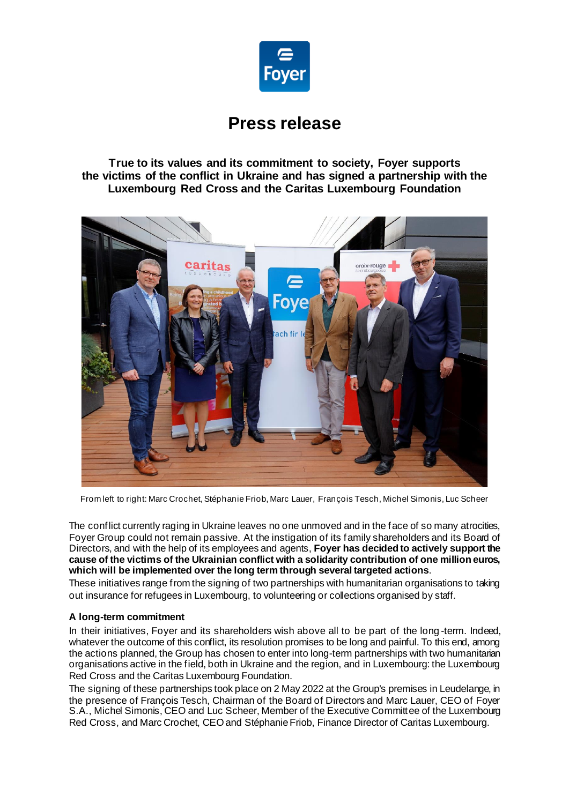

# **Press release**

**True to its values and its commitment to society, Foyer supports the victims of the conflict in Ukraine and has signed a partnership with the Luxembourg Red Cross and the Caritas Luxembourg Foundation**



From left to right: Marc Crochet, Stéphanie Friob, Marc Lauer, François Tesch, Michel Simonis, Luc Scheer

The conflict currently raging in Ukraine leaves no one unmoved and in the face of so many atrocities, Foyer Group could not remain passive. At the instigation of its family shareholders and its Board of Directors, and with the help of its employees and agents, **Foyer has decided to actively support the cause of the victims of the Ukrainian conflict with a solidarity contribution of one million euros, which will be implemented over the long term through several targeted actions**.

These initiatives range from the signing of two partnerships with humanitarian organisations to taking out insurance for refugees in Luxembourg, to volunteering or collections organised by staff.

## **A long-term commitment**

In their initiatives, Foyer and its shareholders wish above all to be part of the long -term. Indeed, whatever the outcome of this conflict, its resolution promises to be long and painful. To this end, among the actions planned, the Group has chosen to enter into long-term partnerships with two humanitarian organisations active in the field, both in Ukraine and the region, and in Luxembourg: the Luxembourg Red Cross and the Caritas Luxembourg Foundation.

The signing of these partnerships took place on 2 May 2022 at the Group's premises in Leudelange, in the presence of François Tesch, Chairman of the Board of Directors and Marc Lauer, CEO of Foyer S.A., Michel Simonis, CEO and Luc Scheer, Member of the Executive Committee of the Luxembourg Red Cross, and Marc Crochet, CEO and Stéphanie Friob, Finance Director of Caritas Luxembourg.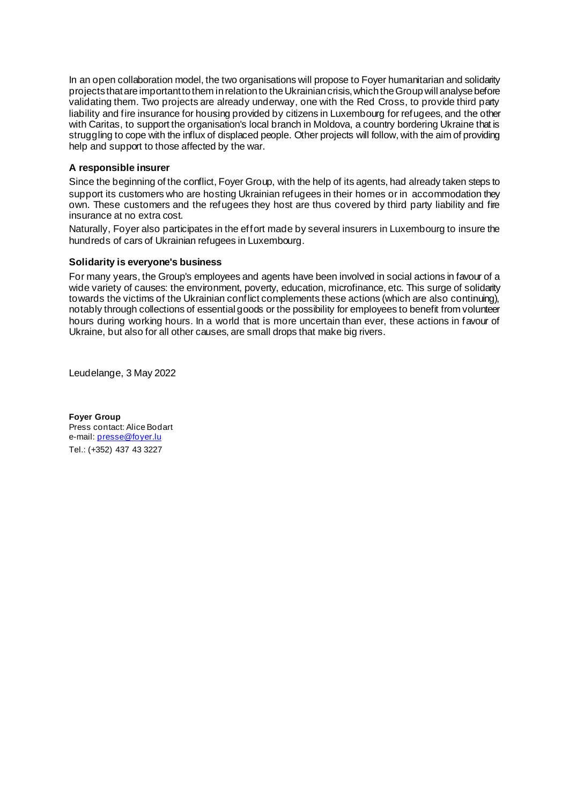In an open collaboration model, the two organisations will propose to Foyer humanitarian and solidarity projects that are important to them in relation to the Ukrainian crisis, which the Group will analyse before validating them. Two projects are already underway, one with the Red Cross, to provide third party liability and fire insurance for housing provided by citizens in Luxembourg for refugees, and the other with Caritas, to support the organisation's local branch in Moldova, a country bordering Ukraine that is struggling to cope with the influx of displaced people. Other projects will follow, with the aim of providing help and support to those affected by the war.

## **A responsible insurer**

Since the beginning of the conflict, Foyer Group, with the help of its agents, had already taken steps to support its customers who are hosting Ukrainian refugees in their homes or in accommodation they own. These customers and the refugees they host are thus covered by third party liability and fire insurance at no extra cost.

Naturally, Foyer also participates in the effort made by several insurers in Luxembourg to insure the hundreds of cars of Ukrainian refugees in Luxembourg.

## **Solidarity is everyone's business**

For many years, the Group's employees and agents have been involved in social actions in favour of a wide variety of causes: the environment, poverty, education, microfinance, etc. This surge of solidarity towards the victims of the Ukrainian conflict complements these actions (which are also continuing), notably through collections of essential goods or the possibility for employees to benefit from volunteer hours during working hours. In a world that is more uncertain than ever, these actions in favour of Ukraine, but also for all other causes, are small drops that make big rivers.

Leudelange, 3 May 2022

**Foyer Group** Press contact: Alice Bodart e-mail[: presse@foyer.lu](mailto:presse@foyer.lu) Tel.: (+352) 437 43 3227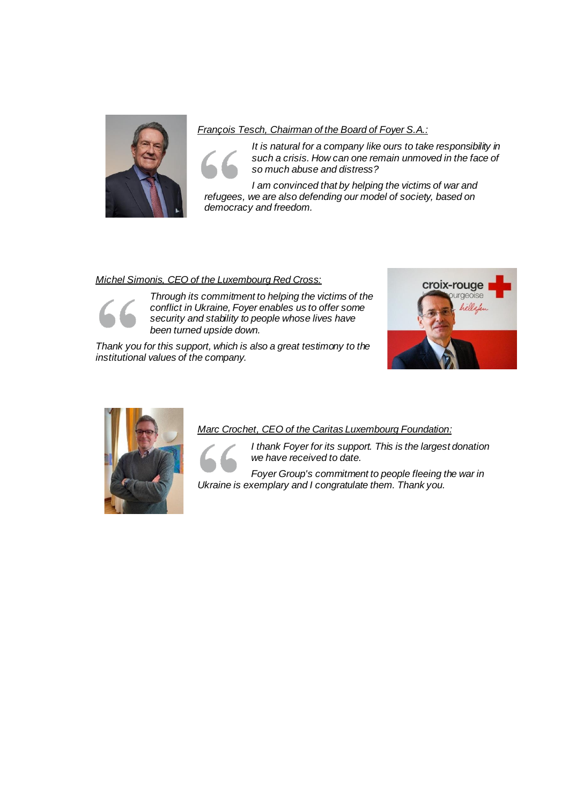

*François Tesch, Chairman of the Board of Foyer S.A.:*

*It is natural for a company like ours to take responsibility in such a crisis. How can one remain unmoved in the face of so much abuse and distress?*

*I am convinced that by helping the victims of war and refugees, we are also defending our model of society, based on democracy and freedom.*

# *Michel Simonis, CEO of the Luxembourg Red Cross:*



*Through its commitment to helping the victims of the conflict in Ukraine, Foyer enables us to offer some security and stability to people whose lives have been turned upside down.*

*Thank you for this support, which is also a great testimony to the institutional values of the company.*





# *Marc Crochet, CEO of the Caritas Luxembourg Foundation:*



*I thank Foyer for its support. This is the largest donation we have received to date.*

*Foyer Group's commitment to people fleeing the war in Ukraine is exemplary and I congratulate them. Thank you.*